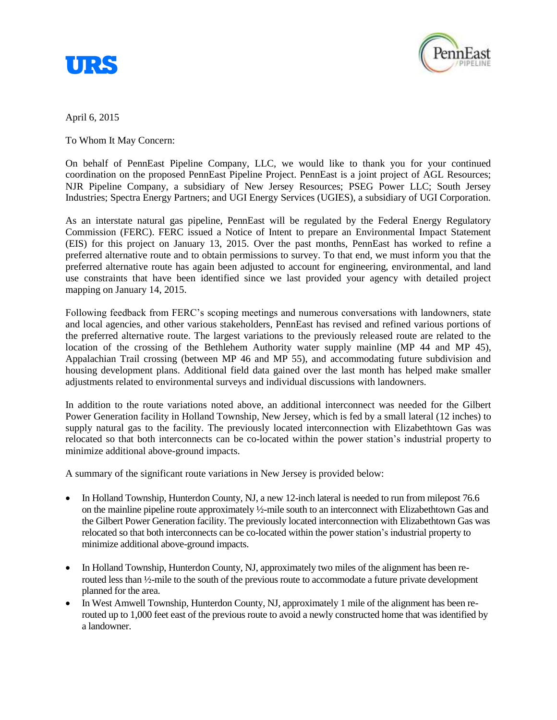



April 6, 2015

To Whom It May Concern:

On behalf of PennEast Pipeline Company, LLC, we would like to thank you for your continued coordination on the proposed PennEast Pipeline Project. PennEast is a joint project of AGL Resources; NJR Pipeline Company, a subsidiary of New Jersey Resources; PSEG Power LLC; South Jersey Industries; Spectra Energy Partners; and UGI Energy Services (UGIES), a subsidiary of UGI Corporation.

As an interstate natural gas pipeline, PennEast will be regulated by the Federal Energy Regulatory Commission (FERC). FERC issued a Notice of Intent to prepare an Environmental Impact Statement (EIS) for this project on January 13, 2015. Over the past months, PennEast has worked to refine a preferred alternative route and to obtain permissions to survey. To that end, we must inform you that the preferred alternative route has again been adjusted to account for engineering, environmental, and land use constraints that have been identified since we last provided your agency with detailed project mapping on January 14, 2015.

Following feedback from FERC's scoping meetings and numerous conversations with landowners, state and local agencies, and other various stakeholders, PennEast has revised and refined various portions of the preferred alternative route. The largest variations to the previously released route are related to the location of the crossing of the Bethlehem Authority water supply mainline (MP 44 and MP 45), Appalachian Trail crossing (between MP 46 and MP 55), and accommodating future subdivision and housing development plans. Additional field data gained over the last month has helped make smaller adjustments related to environmental surveys and individual discussions with landowners.

In addition to the route variations noted above, an additional interconnect was needed for the Gilbert Power Generation facility in Holland Township, New Jersey, which is fed by a small lateral (12 inches) to supply natural gas to the facility. The previously located interconnection with Elizabethtown Gas was relocated so that both interconnects can be co-located within the power station's industrial property to minimize additional above-ground impacts.

A summary of the significant route variations in New Jersey is provided below:

- In Holland Township, Hunterdon County, NJ, a new 12-inch lateral is needed to run from milepost 76.6 on the mainline pipeline route approximately ½-mile south to an interconnect with Elizabethtown Gas and the Gilbert Power Generation facility. The previously located interconnection with Elizabethtown Gas was relocated so that both interconnects can be co-located within the power station's industrial property to minimize additional above-ground impacts.
- In Holland Township, Hunterdon County, NJ, approximately two miles of the alignment has been rerouted less than ½-mile to the south of the previous route to accommodate a future private development planned for the area.
- In West Amwell Township, Hunterdon County, NJ, approximately 1 mile of the alignment has been rerouted up to 1,000 feet east of the previous route to avoid a newly constructed home that was identified by a landowner.